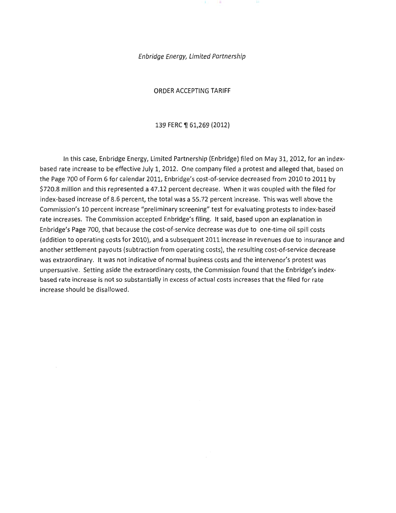Enbridge Energy, Limited Partnership

ORDER ACCEPTING TARIFF

139 FERC ¶ 61,269 (2012)

In this case, Enbridge Energy, Limited Partnership (Enbridge) filed on May 31, 2012, for an indexbased rate increase to be effective July 1, 2012. One company filed a protest and alleged that, based on the Page 700 of Form 6 for calendar 2011, Enbridge's cost-of-service decreased from 2010 to 2011 by \$720.8 million and this represented a 47.12 percent decrease. When it was coupled with the filed for index-based increase of 8.6 percent, the total was a 55.72 percent increase. This was well above the Commission's 10 percent increase "preliminary screening" test for evaluating protests to index-based rate increases. The Commission accepted Enbridge's filing. It said, based upon an explanation in Enbridge's Page 700, that because the cost-of-service decrease was due to one-time oil spill costs (addition to operating costs for 2010), and a subsequent 2011 increase in revenues due to insurance and another settlement payouts (subtraction from operating costs), the resulting cost-of-service decrease was extraordinary. It was not indicative of normal business costs and the intervenor's protest was unpersuasive. Setting aside the extraordinary costs, the Commission found that the Enbridge's indexbased rate increase is not so substantially in excess of actual costs increases that the filed for rate increase should be disallowed.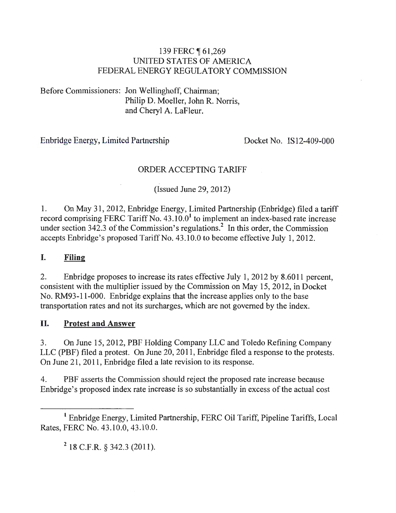## 139 FERC 161,269 UNITED STATES OF AMERICA FEDERAL ENERGY REGULATORY COMMISSION

Before Commissioners: Jon Wellinghoff, Chairman; Philip D. Moeller, John R. Norris, and Cheryl A. LaFleur.

## Enbridge Energy, Limited Partnership Docket No. IS12-409-000

## ORDER ACCEPTING TARIFF

(Issued June 29, 2012)

1. On May 31, 2012, Enbridge Energy, Limited Partnership (Enbridge) filed a tariff record comprising FERC Tariff No.  $43.10.0<sup>1</sup>$  to implement an index-based rate increase under section  $342.3$  of the Commission's regulations.<sup>2</sup> In this order, the Commission accepts Enbridge's proposed Tariff No. 43.10.0 to become effective July 1, 2012.

#### **I. Filing**

2. Enbridge proposes to increase its rates effective July 1, 2012 by 8.6011 percent, consistent with the multiplier issued by the Commission on May 15, 2012, in Docket No. RM93-11 -000. Enbridge explains that the increase applies only to the base transportation rates and not its surcharges, which are not governed by the index.

## **II. Protest and Answer**

3. On June 15, 2012, PBF Holding Company LLC and Toledo Refining Company LLC (PBF) filed a protest. On June 20, 2011 , Enbridge filed a response to the protests. On June 21, 2011, Enbridge filed a late revision to its response.

4. PBF asserts the Commission should reject the proposed rate increase because Enbridge's proposed index rate increase is so substantially in excess of the actual cost

<sup>2</sup> 18 C.F.R. § 342.3 (2011).

<sup>&</sup>lt;sup>1</sup> Enbridge Energy, Limited Partnership, FERC Oil Tariff, Pipeline Tariffs, Local Rates, FERC No. 43.10.0, 43 .10.0.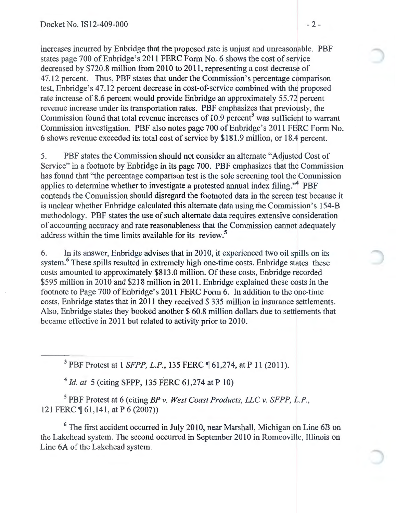increases incurred by Enbridge that the proposed rate is unjust and unreasonable. PBF states page 700 of Enbridge's 2011 FERC Form No. 6 shows the cost of service decreased by \$720.8 million from 2010 to 2011, representing a cost decrease of 4 7.12 percent. Thus, PBF states that under the Commission's percentage comparison test, Enbridge's 47.12 percent decrease in cost-of-service combined with the proposed rate increase of 8.6 percent would provide Enbridge an approximately 55.72 percent revenue increase under its transportation rates. PBF emphasizes that previously, the Commission found that total revenue increases of  $10.9$  percent<sup>3</sup> was sufficient to warrant Commission investigation. PBF also notes page 700 of Enbridge's 2011 FERC Form No. 6 shows revenue exceeded its total cost of service by \$181.9 million, or 18.4 percent.

5. PBF states the Commission should not consider an alternate "Adjusted Cost of Service" in a footnote by Enbridge in its page 700. PBF emphasizes that the Commission has found that ''the percentage comparison test is the sole screening tool the Commission applies to determine whether to investigate a protested annual index filing."<sup>4</sup> PBF contends the Commission should disregard the footnoted data in the screen test because it is unclear whether Enbridge calculated this alternate data using the Commission's 154-B methodology. PBF states the use of such alternate data requires extensive consideration of accounting accuracy and rate reasonableness that the Commission cannot adequately address within the time limits available for its review.<sup>5</sup>

6. In its answer, Enbridge advises that in 2010, it experienced two oil spills on its system.<sup>6</sup> These spills resulted in extremely high one-time costs. Enbridge states these costs amounted to approximately \$813.0 million. Of these costs, Enbridge recorded \$595 million in 2010 and \$218 million in 2011. Enbridge explained these costs in the footnote to Page 700 of Enbridge's 2011 FERC Form 6. In addition to the one-time costs, Enbridge states that in 2011 they received \$ 335 million in insurance settlements. Also, Enbridge states they booked another \$60.8 million dollars due to settlements that became effective in 2011 but related to activity prior to 2010.

<sup>3</sup> PBF Protest at 1 *SFPP, L.P.*, 135 FERC ¶ 61,274, at P 11 (2011).

<sup>4</sup> *Id. at* 5 (citing SFPP, 135 FERC 61,274 at P 10)

5 PBF Protest at 6 (citing *BP v. West Coast Products, LLC v. SFPP, L.P.,*  121 FERC  $\P$  61,141, at P 6 (2007))

<sup>6</sup> The first accident occurred in July 2010, near Marshall, Michigan on Line 6B on the Lakehead system. The second occurred in September 2010 in Romeoville, Illinois on Line 6A of the Lakehead system.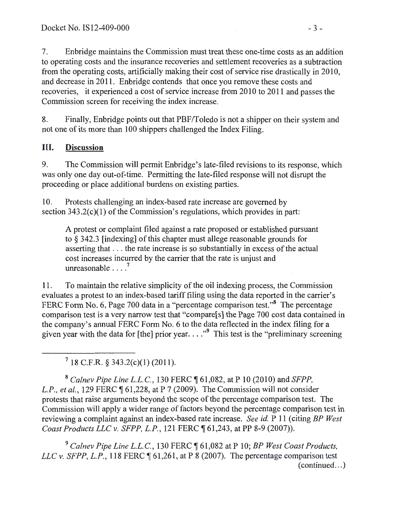7. En bridge maintains the Commission must treat these one-time costs as an addition to operating costs and the insurance recoveries and settlement recoveries as a subtraction from the operating costs, artificially making their cost of service rise drastically in 2010, and decrease in 2011. Enbridge contends that once you remove these costs and recoveries, it experienced a cost of service increase from 2010 to 2011 and passes the Commission screen for receiving the index increase.

8. Finally, Enbridge points out that PBF/Toledo is not a shipper on their system and not one of its more than 100 shippers challenged the Index Filing.

# III. Discussion

9. The Commission will permit Enbridge's late-filed revisions to its response, which was only one day out-of-time. Permitting the late-filed response will not disrupt the proceeding or place additional burdens on existing parties.

10. Protests challenging an index-based rate increase are governed by section 343.2(c)(l) of the Commission's regulations, which provides in part:

A protest or complaint filed against a rate proposed or established pursuant to§ 342.3 [indexing] of this chapter must allege reasonable grounds for asserting that ... the rate increase is so substantially in excess of the actual cost increases incurred by the carrier that the rate is unjust and unreasonable  $\ldots$ <sup>7</sup>

11. To maintain the relative simplicity of the oil indexing process, the Commission evaluates a protest to an index-based tariff filing using the data reported in the carrier's FERC Form No. 6, Page 700 data in a "percentage comparison test."<sup>8</sup> The percentage comparison test is a very narrow test that "compare[s] the Page 700 cost data contained in the company's annual FERC Form No.6 to the data reflected in the index filing for a given year with the data for [the] prior year.  $\ldots$ <sup>9</sup> This test is the "preliminary screening"

 $7$  18 C.F.R. § 343.2(c)(1) (2011).

<sup>8</sup>*Calnev Pipe Line L.L.C.,* 130 FERC ~ 61,082, at P 10 (2010) and *SFPP, L.P., et al.,* 129 FERC ¶ 61,228, at P 7 (2009). The Commission will not consider protests that raise arguments beyond the scope of the percentage comparison test. The Commission will apply a wider range of factors beyond the percentage comparison test in reviewing a complaint against an index-based rate increase. *See id.* P 11 (citing *BP West Coast Products LLC v. SFPP, L.P.*, 121 FERC ¶ 61,243, at PP 8-9 (2007)).

<sup>9</sup> Calnev Pipe Line L.L.C., 130 FERC ¶ 61,082 at P 10; *BP West Coast Products*, *LLC v. SFPP, L.P.,* 118 FERC  $\P$  61,261, at P 8 (2007). The percentage comparison test  $(continued...)$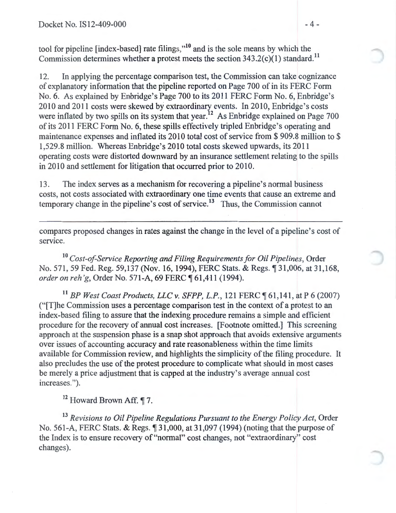tool for pipeline [index-based] rate filings,"<sup>10</sup> and is the sole means by which the Commission determines whether a protest meets the section  $343.2(c)(1)$  standard.<sup>11</sup>

12. In applying the percentage comparison test, the Commission can take cognizance of explanatory information that the pipeline reported on Page 700 of in its FERC Form No.6. As explained by Enbridge's Page 700 to its 2011 FERC Form No.6, Enbridge's 2010 and 2011 costs were skewed by extraordinary events. In 2010, Enbridge's costs were inflated by two spills on its system that year.<sup>12</sup> As Enbridge explained on Page 700 of its 2011 FERC Form No.6, these spills effectively tripled Enbridge's operating and maintenance expenses and inflated its 2010 total cost of service from \$909.8 million to \$ 1,529.8 million. Whereas Enbridge's 2010 total costs skewed upwards, its 2011 operating costs were distorted downward by an insurance settlement relating to the spills in 2010 and settlement for litigation that occurred prior to 2010.

13. The index serves as a mechanism for recovering a pipeline's normal business costs, not costs associated with extraordinary one time events that cause an extreme and temporary change in the pipeline's cost of service.<sup>13</sup> Thus, the Commission cannot

compares proposed changes in rates against the change in the level of a pipeline's cost of service.

<sup>10</sup> Cost-of-Service Reporting and Filing Requirements for Oil Pipelines, Order No. 571, 59 Fed. Reg. 59,137 (Nov. 16, 1994), FERC Stats. & Regs.  $\sqrt{31,006}$ , at 31,168, *order on reh'g, Order No.* 571-A, 69 FERC ¶ 61,411 (1994).

<sup>11</sup> BP West Coast Products, LLC v. SFPP, L.P., 121 FERC [61,141, at P 6 (2007) ("[T]he Commission uses a percentage comparison test in the context of a protest to an index-based filing to assure that the indexing procedure remains a simple and efficient procedure for the recovery of annual cost increases. [Footnote omitted.] This screening approach at the suspension phase is a snap shot approach that avoids extensive arguments over issues of accounting accuracy and rate reasonableness within the time limits available for Commission review, and highlights the simplicity of the filing procedure. It also precludes the use of the protest procedure to complicate what should in most cases be merely a price adjustment that is capped at the industry's average annual cost increases.").

<sup>12</sup> Howard Brown Aff. ¶ 7.

<sup>13</sup> Revisions to Oil Pipeline Regulations Pursuant to the Energy Policy Act, Order No. 561-A, FERC Stats. & Regs.  $\frac{4}{31,000}$ , at 31,097 (1994) (noting that the purpose of the Index is to ensure recovery of "normal" cost changes, not "extraordinary" cost changes).